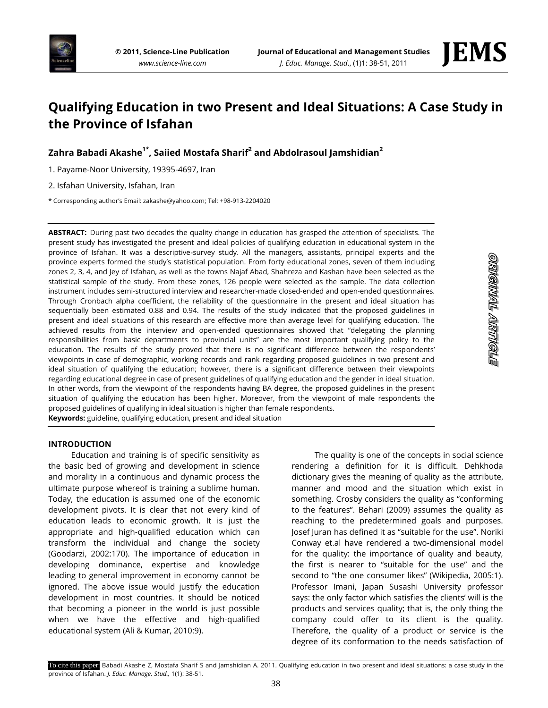



# **Qualifying Education in two Present and Ideal Situations: A Case Study in the Province of Isfahan**

**Zahra Babadi Akashe1\* , Saiied Mostafa Sharif<sup>2</sup> and Abdolrasoul Jamshidian<sup>2</sup>**

1. Payame-Noor University, 19395-4697, Iran

2. Isfahan University, Isfahan, Iran

\* Corresponding author's Email: zakashe@yahoo.com; Tel: +98-913-2204020

**ABSTRACT:** During past two decades the quality change in education has grasped the attention of specialists. The present study has investigated the present and ideal policies of qualifying education in educational system in the province of Isfahan. It was a descriptive-survey study. All the managers, assistants, principal experts and the province experts formed the study's statistical population. From forty educational zones, seven of them including zones 2, 3, 4, and Jey of Isfahan, as well as the towns Najaf Abad, Shahreza and Kashan have been selected as the statistical sample of the study. From these zones, 126 people were selected as the sample. The data collection instrument includes semi-structured interview and researcher-made closed-ended and open-ended questionnaires. Through Cronbach alpha coefficient, the reliability of the questionnaire in the present and ideal situation has sequentially been estimated 0.88 and 0.94. The results of the study indicated that the proposed guidelines in present and ideal situations of this research are effective more than average level for qualifying education. The achieved results from the interview and open-ended questionnaires showed that "delegating the planning responsibilities from basic departments to provincial units" are the most important qualifying policy to the education. The results of the study proved that there is no significant difference between the respondents' viewpoints in case of demographic, working records and rank regarding proposed guidelines in two present and ideal situation of qualifying the education; however, there is a significant difference between their viewpoints regarding educational degree in case of present guidelines of qualifying education and the gender in ideal situation. In other words, from the viewpoint of the respondents having BA degree, the proposed guidelines in the present situation of qualifying the education has been higher. Moreover, from the viewpoint of male respondents the proposed guidelines of qualifying in ideal situation is higher than female respondents. **Keywords:** guideline, qualifying education, present and ideal situation

## **INTRODUCTION**

Education and training is of specific sensitivity as the basic bed of growing and development in science and morality in a continuous and dynamic process the ultimate purpose whereof is training a sublime human. Today, the education is assumed one of the economic development pivots. It is clear that not every kind of education leads to economic growth. It is just the appropriate and high-qualified education which can transform the individual and change the society (Goodarzi, 2002:170). The importance of education in developing dominance, expertise and knowledge leading to general improvement in economy cannot be ignored. The above issue would justify the education development in most countries. It should be noticed that becoming a pioneer in the world is just possible when we have the effective and high-qualified educational system (Ali & Kumar, 2010:9).

The quality is one of the concepts in social science rendering a definition for it is difficult. Dehkhoda dictionary gives the meaning of quality as the attribute, manner and mood and the situation which exist in something. Crosby considers the quality as "conforming to the features". Behari (2009) assumes the quality as reaching to the predetermined goals and purposes. Josef Juran has defined it as "suitable for the use". Noriki Conway et.al have rendered a two-dimensional model for the quality: the importance of quality and beauty, the first is nearer to "suitable for the use" and the second to "the one consumer likes" (Wikipedia, 2005:1). Professor Imani, Japan Susashi University professor says: the only factor which satisfies the clients' will is the products and services quality; that is, the only thing the company could offer to its client is the quality. Therefore, the quality of a product or service is the degree of its conformation to the needs satisfaction of

STOILLYV TIMOILO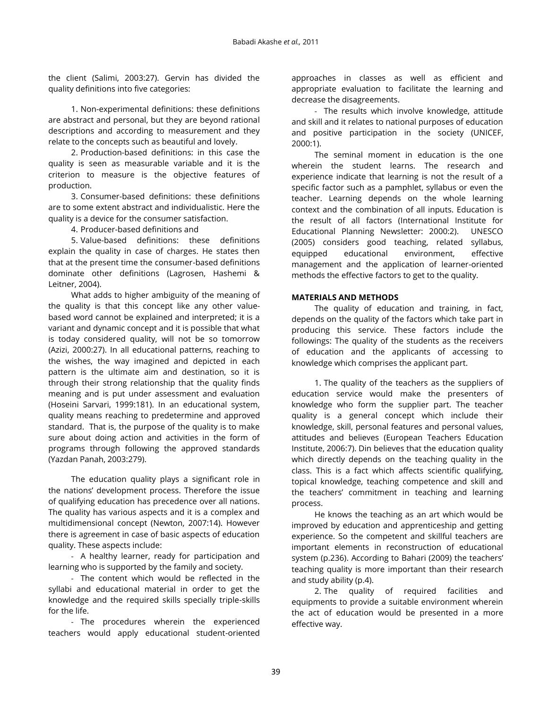the client (Salimi, 2003:27). Gervin has divided the quality definitions into five categories:

1. Non-experimental definitions: these definitions are abstract and personal, but they are beyond rational descriptions and according to measurement and they relate to the concepts such as beautiful and lovely.

2. Production-based definitions: in this case the quality is seen as measurable variable and it is the criterion to measure is the objective features of production.

3. Consumer-based definitions: these definitions are to some extent abstract and individualistic. Here the quality is a device for the consumer satisfaction.

4. Producer-based definitions and

5. Value-based definitions: these definitions explain the quality in case of charges. He states then that at the present time the consumer-based definitions dominate other definitions (Lagrosen, Hashemi & Leitner, 2004).

What adds to higher ambiguity of the meaning of the quality is that this concept like any other valuebased word cannot be explained and interpreted; it is a variant and dynamic concept and it is possible that what is today considered quality, will not be so tomorrow (Azizi, 2000:27). In all educational patterns, reaching to the wishes, the way imagined and depicted in each pattern is the ultimate aim and destination, so it is through their strong relationship that the quality finds meaning and is put under assessment and evaluation (Hoseini Sarvari, 1999:181). In an educational system, quality means reaching to predetermine and approved standard. That is, the purpose of the quality is to make sure about doing action and activities in the form of programs through following the approved standards (Yazdan Panah, 2003:279).

The education quality plays a significant role in the nations' development process. Therefore the issue of qualifying education has precedence over all nations. The quality has various aspects and it is a complex and multidimensional concept (Newton, 2007:14). However there is agreement in case of basic aspects of education quality. These aspects include:

- A healthy learner, ready for participation and learning who is supported by the family and society.

- The content which would be reflected in the syllabi and educational material in order to get the knowledge and the required skills specially triple-skills for the life.

- The procedures wherein the experienced teachers would apply educational student-oriented approaches in classes as well as efficient and appropriate evaluation to facilitate the learning and decrease the disagreements.

- The results which involve knowledge, attitude and skill and it relates to national purposes of education and positive participation in the society (UNICEF, 2000:1).

The seminal moment in education is the one wherein the student learns. The research and experience indicate that learning is not the result of a specific factor such as a pamphlet, syllabus or even the teacher. Learning depends on the whole learning context and the combination of all inputs. Education is the result of all factors (International Institute for Educational Planning Newsletter: 2000:2). UNESCO (2005) considers good teaching, related syllabus, equipped educational environment, effective management and the application of learner-oriented methods the effective factors to get to the quality.

# **MATERIALS AND METHODS**

The quality of education and training, in fact, depends on the quality of the factors which take part in producing this service. These factors include the followings: The quality of the students as the receivers of education and the applicants of accessing to knowledge which comprises the applicant part.

1. The quality of the teachers as the suppliers of education service would make the presenters of knowledge who form the supplier part. The teacher quality is a general concept which include their knowledge, skill, personal features and personal values, attitudes and believes (European Teachers Education Institute, 2006:7). Din believes that the education quality which directly depends on the teaching quality in the class. This is a fact which affects scientific qualifying, topical knowledge, teaching competence and skill and the teachers' commitment in teaching and learning process.

He knows the teaching as an art which would be improved by education and apprenticeship and getting experience. So the competent and skillful teachers are important elements in reconstruction of educational system (p.236). According to Bahari (2009) the teachers' teaching quality is more important than their research and study ability (p.4).

2. The quality of required facilities and equipments to provide a suitable environment wherein the act of education would be presented in a more effective way.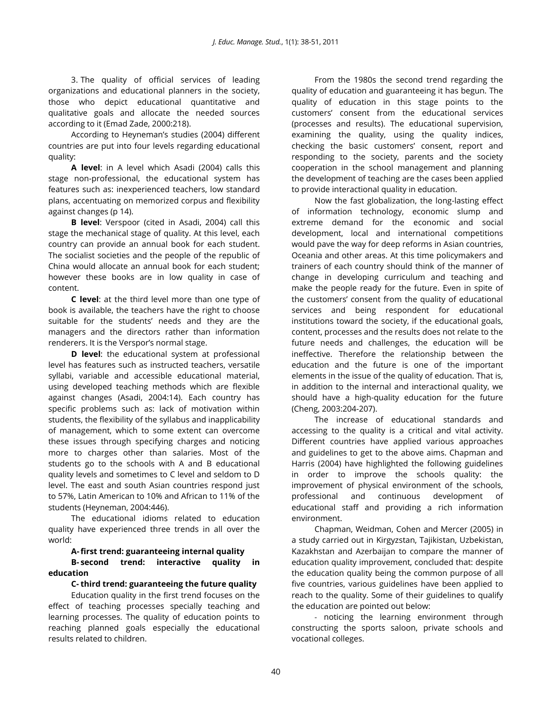3. The quality of official services of leading organizations and educational planners in the society, those who depict educational quantitative and qualitative goals and allocate the needed sources according to it (Emad Zade, 2000:218).

According to Heyneman's studies (2004) different countries are put into four levels regarding educational quality:

**A level**: in A level which Asadi (2004) calls this stage non-professional, the educational system has features such as: inexperienced teachers, low standard plans, accentuating on memorized corpus and flexibility against changes (p 14).

**B level**: Verspoor (cited in Asadi, 2004) call this stage the mechanical stage of quality. At this level, each country can provide an annual book for each student. The socialist societies and the people of the republic of China would allocate an annual book for each student; however these books are in low quality in case of content.

**C level**: at the third level more than one type of book is available, the teachers have the right to choose suitable for the students' needs and they are the managers and the directors rather than information renderers. It is the Verspor's normal stage.

**D level**: the educational system at professional level has features such as instructed teachers, versatile syllabi, variable and accessible educational material, using developed teaching methods which are flexible against changes (Asadi, 2004:14). Each country has specific problems such as: lack of motivation within students, the flexibility of the syllabus and inapplicability of management, which to some extent can overcome these issues through specifying charges and noticing more to charges other than salaries. Most of the students go to the schools with A and B educational quality levels and sometimes to C level and seldom to D level. The east and south Asian countries respond just to 57%, Latin American to 10% and African to 11% of the students (Heyneman, 2004:446).

The educational idioms related to education quality have experienced three trends in all over the world:

# **A-first trend: guaranteeing internal quality B- second trend: interactive quality in**

## **education C- third trend: guaranteeing the future quality**

Education quality in the first trend focuses on the effect of teaching processes specially teaching and learning processes. The quality of education points to reaching planned goals especially the educational results related to children.

From the 1980s the second trend regarding the quality of education and guaranteeing it has begun. The quality of education in this stage points to the customers' consent from the educational services (processes and results). The educational supervision, examining the quality, using the quality indices, checking the basic customers' consent, report and responding to the society, parents and the society cooperation in the school management and planning the development of teaching are the cases been applied to provide interactional quality in education.

Now the fast globalization, the long-lasting effect of information technology, economic slump and extreme demand for the economic and social development, local and international competitions would pave the way for deep reforms in Asian countries, Oceania and other areas. At this time policymakers and trainers of each country should think of the manner of change in developing curriculum and teaching and make the people ready for the future. Even in spite of the customers' consent from the quality of educational services and being respondent for educational institutions toward the society, if the educational goals, content, processes and the results does not relate to the future needs and challenges, the education will be ineffective. Therefore the relationship between the education and the future is one of the important elements in the issue of the quality of education. That is, in addition to the internal and interactional quality, we should have a high-quality education for the future (Cheng, 2003:204-207).

The increase of educational standards and accessing to the quality is a critical and vital activity. Different countries have applied various approaches and guidelines to get to the above aims. Chapman and Harris (2004) have highlighted the following guidelines in order to improve the schools quality: the improvement of physical environment of the schools, professional and continuous development of educational staff and providing a rich information environment.

Chapman, Weidman, Cohen and Mercer (2005) in a study carried out in Kirgyzstan, Tajikistan, Uzbekistan, Kazakhstan and Azerbaijan to compare the manner of education quality improvement, concluded that: despite the education quality being the common purpose of all five countries, various guidelines have been applied to reach to the quality. Some of their guidelines to qualify the education are pointed out below:

- noticing the learning environment through constructing the sports saloon, private schools and vocational colleges.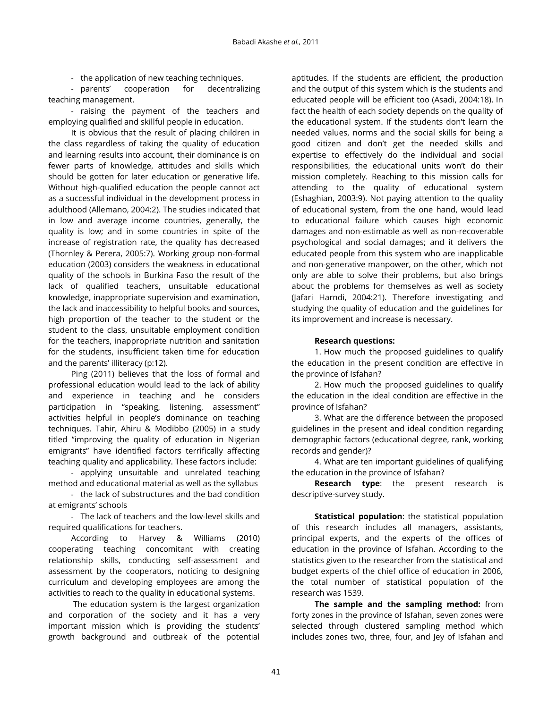- the application of new teaching techniques.

- parents' cooperation for decentralizing teaching management.

- raising the payment of the teachers and employing qualified and skillful people in education.

It is obvious that the result of placing children in the class regardless of taking the quality of education and learning results into account, their dominance is on fewer parts of knowledge, attitudes and skills which should be gotten for later education or generative life. Without high-qualified education the people cannot act as a successful individual in the development process in adulthood (Allemano, 2004:2). The studies indicated that in low and average income countries, generally, the quality is low; and in some countries in spite of the increase of registration rate, the quality has decreased (Thornley & Perera, 2005:7). Working group non-formal education (2003) considers the weakness in educational quality of the schools in Burkina Faso the result of the lack of qualified teachers, unsuitable educational knowledge, inappropriate supervision and examination, the lack and inaccessibility to helpful books and sources, high proportion of the teacher to the student or the student to the class, unsuitable employment condition for the teachers, inappropriate nutrition and sanitation for the students, insufficient taken time for education and the parents' illiteracy (p:12).

Ping (2011) believes that the loss of formal and professional education would lead to the lack of ability and experience in teaching and he considers participation in "speaking, listening, assessment" activities helpful in people's dominance on teaching techniques. Tahir, Ahiru & Modibbo (2005) in a study titled "improving the quality of education in Nigerian emigrants" have identified factors terrifically affecting teaching quality and applicability. These factors include:

- applying unsuitable and unrelated teaching method and educational material as well as the syllabus

- the lack of substructures and the bad condition at emigrants' schools

- The lack of teachers and the low-level skills and required qualifications for teachers.

According to Harvey & Williams (2010) cooperating teaching concomitant with creating relationship skills, conducting self-assessment and assessment by the cooperators, noticing to designing curriculum and developing employees are among the activities to reach to the quality in educational systems.

The education system is the largest organization and corporation of the society and it has a very important mission which is providing the students' growth background and outbreak of the potential

aptitudes. If the students are efficient, the production and the output of this system which is the students and educated people will be efficient too (Asadi, 2004:18). In fact the health of each society depends on the quality of the educational system. If the students don't learn the needed values, norms and the social skills for being a good citizen and don't get the needed skills and expertise to effectively do the individual and social responsibilities, the educational units won't do their mission completely. Reaching to this mission calls for attending to the quality of educational system (Eshaghian, 2003:9). Not paying attention to the quality of educational system, from the one hand, would lead to educational failure which causes high economic damages and non-estimable as well as non-recoverable psychological and social damages; and it delivers the educated people from this system who are inapplicable and non-generative manpower, on the other, which not only are able to solve their problems, but also brings about the problems for themselves as well as society (Jafari Harndi, 2004:21). Therefore investigating and studying the quality of education and the guidelines for its improvement and increase is necessary.

## **Research questions:**

1. How much the proposed guidelines to qualify the education in the present condition are effective in the province of Isfahan?

2. How much the proposed guidelines to qualify the education in the ideal condition are effective in the province of Isfahan?

3. What are the difference between the proposed guidelines in the present and ideal condition regarding demographic factors (educational degree, rank, working records and gender)?

4. What are ten important guidelines of qualifying the education in the province of Isfahan?

**Research type**: the present research is descriptive-survey study.

**Statistical population**: the statistical population of this research includes all managers, assistants, principal experts, and the experts of the offices of education in the province of Isfahan. According to the statistics given to the researcher from the statistical and budget experts of the chief office of education in 2006, the total number of statistical population of the research was 1539.

**The sample and the sampling method:** from forty zones in the province of Isfahan, seven zones were selected through clustered sampling method which includes zones two, three, four, and Jey of Isfahan and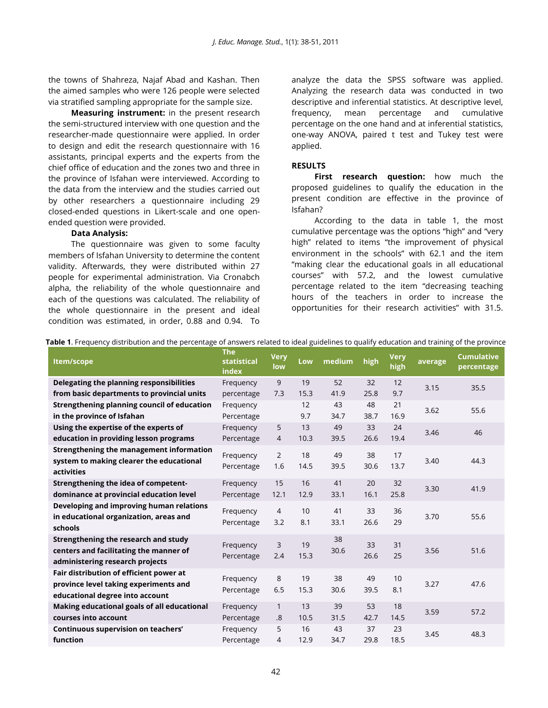the towns of Shahreza, Najaf Abad and Kashan. Then the aimed samples who were 126 people were selected via stratified sampling appropriate for the sample size.

**Measuring instrument:** in the present research the semi-structured interview with one question and the researcher-made questionnaire were applied. In order to design and edit the research questionnaire with 16 assistants, principal experts and the experts from the chief office of education and the zones two and three in the province of Isfahan were interviewed. According to the data from the interview and the studies carried out by other researchers a questionnaire including 29 closed-ended questions in Likert-scale and one openended question were provided.

### **Data Analysis:**

The questionnaire was given to some faculty members of Isfahan University to determine the content validity. Afterwards, they were distributed within 27 people for experimental administration. Via Cronabch alpha, the reliability of the whole questionnaire and each of the questions was calculated. The reliability of the whole questionnaire in the present and ideal condition was estimated, in order, 0.88 and 0.94. To

analyze the data the SPSS software was applied. Analyzing the research data was conducted in two descriptive and inferential statistics. At descriptive level, frequency, mean percentage and cumulative percentage on the one hand and at inferential statistics, one-way ANOVA, paired t test and Tukey test were applied.

## **RESULTS**

**First research question:** how much the proposed guidelines to qualify the education in the present condition are effective in the province of Isfahan?

According to the data in table 1, the most cumulative percentage was the options "high" and "very high" related to items "the improvement of physical environment in the schools" with 62.1 and the item "making clear the educational goals in all educational courses" with 57.2, and the lowest cumulative percentage related to the item "decreasing teaching hours of the teachers in order to increase the opportunities for their research activities" with 31.5.

|  |  |  | Table 1. Frequency distribution and the percentage of answers related to ideal guidelines to qualify education and training of the province |  |  |  |
|--|--|--|---------------------------------------------------------------------------------------------------------------------------------------------|--|--|--|
|  |  |  |                                                                                                                                             |  |  |  |

| Item/scope                                                                                                          | <b>The</b><br>statistical<br>index | <b>Very</b><br>low    | Low        | medium     | high       | <b>Very</b><br>high | average | <b>Cumulative</b><br>percentage |
|---------------------------------------------------------------------------------------------------------------------|------------------------------------|-----------------------|------------|------------|------------|---------------------|---------|---------------------------------|
| Delegating the planning responsibilities                                                                            | Frequency                          | 9                     | 19         | 52         | 32         | 12                  | 3.15    | 35.5                            |
| from basic departments to provincial units                                                                          | percentage                         | 7.3                   | 15.3       | 41.9       | 25.8       | 9.7                 |         |                                 |
| Strengthening planning council of education                                                                         | Frequency                          |                       | 12         | 43         | 48         | 21                  | 3.62    | 55.6                            |
| in the province of Isfahan                                                                                          | Percentage                         |                       | 9.7        | 34.7       | 38.7       | 16.9                |         |                                 |
| Using the expertise of the experts of                                                                               | Frequency                          | 5                     | 13         | 49         | 33         | 24                  | 3.46    | 46                              |
| education in providing lesson programs                                                                              | Percentage                         | $\overline{4}$        | 10.3       | 39.5       | 26.6       | 19.4                |         |                                 |
| Strengthening the management information<br>system to making clearer the educational<br>activities                  | Frequency<br>Percentage            | $\overline{2}$<br>1.6 | 18<br>14.5 | 49<br>39.5 | 38<br>30.6 | 17<br>13.7          | 3.40    | 44.3                            |
| Strengthening the idea of competent-<br>dominance at provincial education level                                     | Frequency<br>Percentage            | 15<br>12.1            | 16<br>12.9 | 41<br>33.1 | 20<br>16.1 | 32<br>25.8          | 3.30    | 41.9                            |
| Developing and improving human relations<br>in educational organization, areas and<br>schools                       | Frequency<br>Percentage            | $\overline{4}$<br>3.2 | 10<br>8.1  | 41<br>33.1 | 33<br>26.6 | 36<br>29            | 3.70    | 55.6                            |
| Strengthening the research and study<br>centers and facilitating the manner of<br>administering research projects   | Frequency<br>Percentage            | 3<br>2.4              | 19<br>15.3 | 38<br>30.6 | 33<br>26.6 | 31<br>25            | 3.56    | 51.6                            |
| Fair distribution of efficient power at<br>province level taking experiments and<br>educational degree into account | Frequency<br>Percentage            | 8<br>6.5              | 19<br>15.3 | 38<br>30.6 | 49<br>39.5 | 10<br>8.1           | 3.27    | 47.6                            |
| Making educational goals of all educational                                                                         | Frequency                          | $\mathbf{1}$          | 13         | 39         | 53         | 18                  | 3.59    | 57.2                            |
| courses into account                                                                                                | Percentage                         | .8                    | 10.5       | 31.5       | 42.7       | 14.5                |         |                                 |
| Continuous supervision on teachers'                                                                                 | Frequency                          | 5                     | 16         | 43         | 37         | 23                  | 3.45    | 48.3                            |
| function                                                                                                            | Percentage                         | 4                     | 12.9       | 34.7       | 29.8       | 18.5                |         |                                 |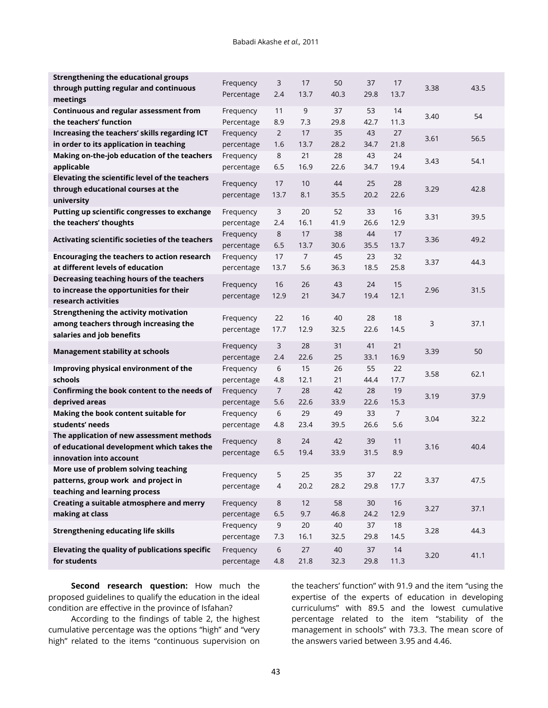| <b>Strengthening the educational groups</b>     | Frequency  | 3              | 17             | 50   | 37   | 17             |      |      |
|-------------------------------------------------|------------|----------------|----------------|------|------|----------------|------|------|
| through putting regular and continuous          | Percentage | 2.4            | 13.7           | 40.3 | 29.8 | 13.7           | 3.38 | 43.5 |
| meetings                                        |            |                |                |      |      |                |      |      |
| Continuous and regular assessment from          | Frequency  | 11             | 9              | 37   | 53   | 14             | 3.40 | 54   |
| the teachers' function                          | Percentage | 8.9            | 7.3            | 29.8 | 42.7 | 11.3           |      |      |
| Increasing the teachers' skills regarding ICT   | Frequency  | $\overline{2}$ | 17             | 35   | 43   | 27             |      | 56.5 |
| in order to its application in teaching         | percentage | 1.6            | 13.7           | 28.2 | 34.7 | 21.8           | 3.61 |      |
| Making on-the-job education of the teachers     | Frequency  | 8              | 21             | 28   | 43   | 24             |      |      |
| applicable                                      | percentage | 6.5            | 16.9           | 22.6 | 34.7 | 19.4           | 3.43 | 54.1 |
| Elevating the scientific level of the teachers  |            |                |                |      |      |                |      |      |
| through educational courses at the              | Frequency  | 17             | 10             | 44   | 25   | 28             | 3.29 | 42.8 |
| university                                      | percentage | 13.7           | 8.1            | 35.5 | 20.2 | 22.6           |      |      |
| Putting up scientific congresses to exchange    | Frequency  | 3              | 20             | 52   | 33   | 16             |      |      |
| the teachers' thoughts                          | percentage | 2.4            | 16.1           | 41.9 | 26.6 | 12.9           | 3.31 | 39.5 |
|                                                 | Frequency  | $\,8\,$        | 17             | 38   | 44   | 17             |      |      |
| Activating scientific societies of the teachers | percentage | 6.5            | 13.7           | 30.6 | 35.5 | 13.7           | 3.36 | 49.2 |
| Encouraging the teachers to action research     | Frequency  | 17             | $\overline{7}$ | 45   | 23   | 32             |      |      |
| at different levels of education                | percentage | 13.7           | 5.6            | 36.3 | 18.5 | 25.8           | 3.37 | 44.3 |
| Decreasing teaching hours of the teachers       |            |                |                |      |      |                |      |      |
| to increase the opportunities for their         | Frequency  | 16             | 26             | 43   | 24   | 15             | 2.96 | 31.5 |
| research activities                             | percentage | 12.9           | 21             | 34.7 | 19.4 | 12.1           |      |      |
| <b>Strengthening the activity motivation</b>    |            |                |                |      |      |                |      |      |
| among teachers through increasing the           | Frequency  | 22             | 16             | 40   | 28   | 18             | 3    | 37.1 |
| salaries and job benefits                       | percentage | 17.7           | 12.9           | 32.5 | 22.6 | 14.5           |      |      |
|                                                 | Frequency  | 3              | 28             | 31   | 41   | 21             |      |      |
| <b>Management stability at schools</b>          | percentage | 2.4            | 22.6           | 25   | 33.1 | 16.9           | 3.39 | 50   |
| Improving physical environment of the           | Frequency  | 6              | 15             | 26   | 55   | 22             |      |      |
| schools                                         | percentage | 4.8            | 12.1           | 21   | 44.4 | 17.7           | 3.58 | 62.1 |
| Confirming the book content to the needs of     | Frequency  | 7              | 28             | 42   | 28   | 19             |      |      |
| deprived areas                                  | percentage | 5.6            | 22.6           | 33.9 | 22.6 | 15.3           | 3.19 | 37.9 |
| Making the book content suitable for            | Frequency  | 6              | 29             | 49   | 33   | $\overline{7}$ |      |      |
| students' needs                                 | percentage | 4.8            | 23.4           | 39.5 | 26.6 | 5.6            | 3.04 | 32.2 |
| The application of new assessment methods       |            |                |                |      |      |                |      |      |
| of educational development which takes the      | Frequency  | $\,8\,$        | 24             | 42   | 39   | 11             | 3.16 | 40.4 |
| innovation into account                         | percentage | 6.5            | 19.4           | 33.9 | 31.5 | 8.9            |      |      |
| More use of problem solving teaching            |            |                |                |      |      |                |      |      |
| patterns, group work and project in             | Frequency  | 5              | 25             | 35   | 37   | 22             | 3.37 | 47.5 |
| teaching and learning process                   | percentage | 4              | 20.2           | 28.2 | 29.8 | 17.7           |      |      |
| Creating a suitable atmosphere and merry        | Frequency  | $\,8\,$        | 12             | 58   | $30$ | 16             |      |      |
| making at class                                 | percentage | 6.5            | 9.7            | 46.8 | 24.2 | 12.9           | 3.27 | 37.1 |
|                                                 | Frequency  | 9              | $20\,$         | 40   | 37   | 18             |      |      |
| <b>Strengthening educating life skills</b>      | percentage | 7.3            | 16.1           | 32.5 | 29.8 | 14.5           | 3.28 | 44.3 |
| Elevating the quality of publications specific  | Frequency  | 6              | 27             | 40   | 37   | 14             |      |      |
| for students                                    | percentage | 4.8            | 21.8           | 32.3 | 29.8 | 11.3           | 3.20 | 41.1 |
|                                                 |            |                |                |      |      |                |      |      |

**Second research question:** How much the proposed guidelines to qualify the education in the ideal condition are effective in the province of Isfahan?

According to the findings of table 2, the highest cumulative percentage was the options "high" and "very high" related to the items "continuous supervision on

the teachers' function" with 91.9 and the item "using the expertise of the experts of education in developing curriculums" with 89.5 and the lowest cumulative percentage related to the item "stability of the management in schools" with 73.3. The mean score of the answers varied between 3.95 and 4.46.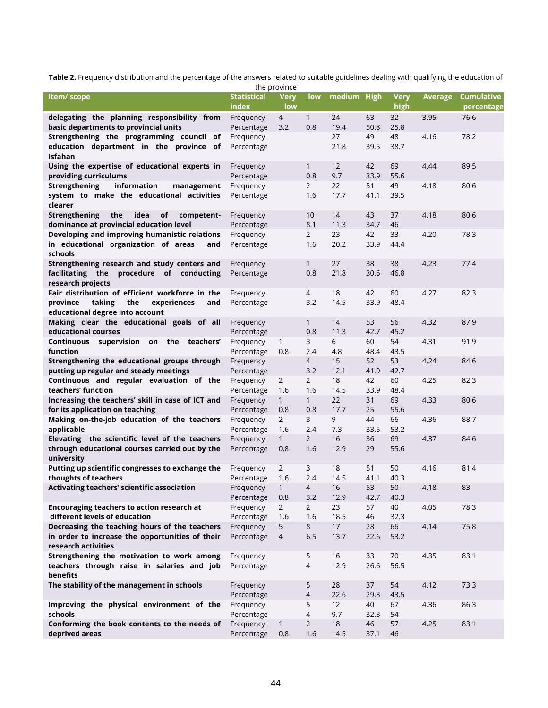**Table 2.** Frequency distribution and the percentage of the answers related to suitable guidelines dealing with qualifying the education of

|                                                                                        |                             | the province          |                       |             |            |              |         |                          |
|----------------------------------------------------------------------------------------|-----------------------------|-----------------------|-----------------------|-------------|------------|--------------|---------|--------------------------|
| Item/ scope                                                                            | <b>Statistical</b><br>index | <b>Very</b><br>low    | low                   | medium High |            | Very<br>high | Average | Cumulative<br>percentage |
| delegating the planning responsibility from                                            | Frequency                   | 4                     | $\mathbf{1}$          | 24          | 63         | 32           | 3.95    | 76.6                     |
| basic departments to provincial units                                                  | Percentage                  | 3.2                   | 0.8                   | 19.4        | 50.8       | 25.8         |         |                          |
| Strengthening the programming council of                                               | Frequency                   |                       |                       | 27          | 49         | 48           | 4.16    | 78.2                     |
| education department in the province of                                                | Percentage                  |                       |                       | 21.8        | 39.5       | 38.7         |         |                          |
| <b>Isfahan</b>                                                                         |                             |                       |                       |             |            |              |         |                          |
| Using the expertise of educational experts in                                          | Frequency                   |                       | $\mathbf{1}$          | 12          | 42         | 69           | 4.44    | 89.5                     |
| providing curriculums                                                                  | Percentage                  |                       | 0.8                   | 9.7         | 33.9       | 55.6         |         |                          |
| <b>Strengthening</b><br>information<br>management                                      | Frequency                   |                       | $\overline{2}$        | 22          | 51         | 49           | 4.18    | 80.6                     |
| system to make the educational activities<br>clearer                                   | Percentage                  |                       | 1.6                   | 17.7        | 41.1       | 39.5         |         |                          |
| <b>Strengthening</b><br>the<br>idea<br>οf<br>competent-                                | Frequency                   |                       | 10                    | 14          | 43         | 37           | 4.18    | 80.6                     |
| dominance at provincial education level                                                | Percentage                  |                       | 8.1                   | 11.3        | 34.7       | 46           |         |                          |
| Developing and improving humanistic relations                                          | Frequency                   |                       | $\overline{2}$        | 23          | 42         | 33           | 4.20    | 78.3                     |
| in educational organization of areas<br>and                                            | Percentage                  |                       | 1.6                   | 20.2        | 33.9       | 44.4         |         |                          |
| schools                                                                                |                             |                       |                       |             |            |              |         |                          |
| Strengthening research and study centers and                                           | Frequency                   |                       | $\mathbf{1}$          | 27          | 38         | 38           | 4.23    | 77.4                     |
| facilitating the procedure of conducting                                               | Percentage                  |                       | 0.8                   | 21.8        | 30.6       | 46.8         |         |                          |
| research projects                                                                      |                             |                       |                       |             |            |              |         |                          |
| Fair distribution of efficient workforce in the                                        | Frequency                   |                       | 4                     | 18          | 42         | 60           | 4.27    | 82.3                     |
| province<br>taking<br>the<br>experiences<br>and                                        | Percentage                  |                       | 3.2                   | 14.5        | 33.9       | 48.4         |         |                          |
| educational degree into account                                                        |                             |                       |                       |             |            |              |         |                          |
| Making clear the educational goals of all                                              | Frequency                   |                       | $\mathbf{1}$          | 14          | 53         | 56           | 4.32    | 87.9                     |
| educational courses                                                                    | Percentage                  |                       | 0.8                   | 11.3        | 42.7       | 45.2         |         |                          |
| Continuous supervision on the teachers'                                                | Frequency                   | $\mathbf{1}$          | 3                     | 6           | 60         | 54           | 4.31    | 91.9                     |
| function                                                                               | Percentage                  | 0.8                   | 2.4                   | 4.8         | 48.4       | 43.5         |         |                          |
| Strengthening the educational groups through<br>putting up regular and steady meetings | Frequency                   |                       | $\overline{4}$<br>3.2 | 15<br>12.1  | 52<br>41.9 | 53<br>42.7   | 4.24    | 84.6                     |
| Continuous and regular evaluation of the                                               | Percentage<br>Frequency     | 2                     | $\mathbf{2}$          | 18          | 42         | 60           | 4.25    | 82.3                     |
| teachers' function                                                                     | Percentage                  | 1.6                   | 1.6                   | 14.5        | 33.9       | 48.4         |         |                          |
| Increasing the teachers' skill in case of ICT and                                      | Frequency                   | $\mathbf{1}$          | $\mathbf{1}$          | 22          | 31         | 69           | 4.33    | 80.6                     |
| for its application on teaching                                                        | Percentage                  | 0.8                   | 0.8                   | 17.7        | 25         | 55.6         |         |                          |
| Making on-the-job education of the teachers                                            | Frequency                   | $\overline{2}$        | 3                     | 9           | 44         | 66           | 4.36    | 88.7                     |
| applicable                                                                             | Percentage                  | 1.6                   | 2.4                   | 7.3         | 33.5       | 53.2         |         |                          |
| Elevating the scientific level of the teachers                                         | Frequency                   | $\mathbf{1}$          | $\overline{2}$        | 16          | 36         | 69           | 4.37    | 84.6                     |
| through educational courses carried out by the                                         | Percentage                  | 0.8                   | 1.6                   | 12.9        | 29         | 55.6         |         |                          |
| university                                                                             |                             |                       |                       |             |            |              |         |                          |
| Putting up scientific congresses to exchange the                                       | Frequency                   | $\overline{2}$        | 3                     | 18          | 51         | 50           | 4.16    | 81.4                     |
| thoughts of teachers                                                                   | Percentage                  | 1.6                   | 2.4                   | 14.5        | 41.1       | 40.3         |         |                          |
| Activating teachers' scientific association                                            | Frequency                   | 1                     | 4                     | 16          | 53         | 50           | 4.18    | 83                       |
|                                                                                        | Percentage                  | 0.8                   | 3.2                   | 12.9        | 42.7       | 40.3         |         |                          |
| Encouraging teachers to action research at<br>different levels of education            | Frequency                   | $\overline{2}$<br>1.6 | $\overline{2}$<br>1.6 | 23<br>18.5  | 57<br>46   | 40<br>32.3   | 4.05    | 78.3                     |
| Decreasing the teaching hours of the teachers                                          | Percentage<br>Frequency     | 5                     | 8                     | 17          | 28         | 66           | 4.14    | 75.8                     |
| in order to increase the opportunities of their                                        | Percentage                  | $\overline{4}$        | 6.5                   | 13.7        | 22.6       | 53.2         |         |                          |
| research activities                                                                    |                             |                       |                       |             |            |              |         |                          |
| Strengthening the motivation to work among                                             | Frequency                   |                       | 5                     | 16          | 33         | 70           | 4.35    | 83.1                     |
| teachers through raise in salaries and job                                             | Percentage                  |                       | $\overline{4}$        | 12.9        | 26.6       | 56.5         |         |                          |
| benefits                                                                               |                             |                       |                       |             |            |              |         |                          |
| The stability of the management in schools                                             | Frequency                   |                       | 5                     | 28          | 37         | 54           | 4.12    | 73.3                     |
|                                                                                        | Percentage                  |                       | $\overline{4}$        | 22.6        | 29.8       | 43.5         |         |                          |
| Improving the physical environment of the                                              | Frequency                   |                       | 5                     | 12          | 40         | 67           | 4.36    | 86.3                     |
| schools                                                                                | Percentage                  |                       | $\overline{4}$        | 9.7         | 32.3       | 54           |         |                          |
| Conforming the book contents to the needs of                                           | Frequency                   | $\mathbf{1}$          | $2^{\circ}$           | 18          | 46         | 57           | 4.25    | 83.1                     |
| deprived areas                                                                         | Percentage                  | $0.8\,$               | 1.6                   | 14.5        | 37.1       | 46           |         |                          |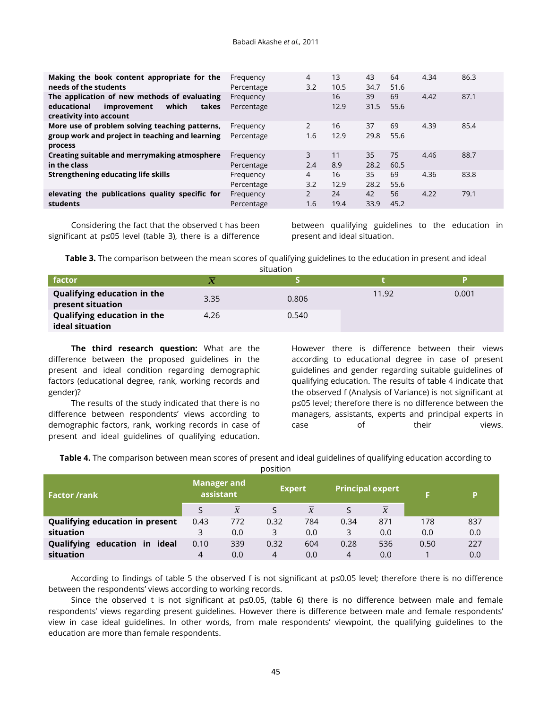| Making the book content appropriate for the<br>needs of the students                                                    | Frequency<br>Percentage | 4<br>3.2              | 13<br>10.5 | 43<br>34.7 | 64<br>51.6 | 4.34 | 86.3 |
|-------------------------------------------------------------------------------------------------------------------------|-------------------------|-----------------------|------------|------------|------------|------|------|
| The application of new methods of evaluating<br>which<br>educational<br>improvement<br>takes<br>creativity into account | Frequency<br>Percentage |                       | 16<br>12.9 | 39<br>31.5 | 69<br>55.6 | 4.42 | 87.1 |
| More use of problem solving teaching patterns,<br>group work and project in teaching and learning<br>process            | Frequency<br>Percentage | 2<br>1.6              | 16<br>12.9 | 37<br>29.8 | 69<br>55.6 | 4.39 | 85.4 |
| Creating suitable and merrymaking atmosphere<br>in the class                                                            | Frequency<br>Percentage | 3<br>2.4              | 11<br>8.9  | 35<br>28.2 | 75<br>60.5 | 4.46 | 88.7 |
| Strengthening educating life skills                                                                                     | Frequency<br>Percentage | $\overline{4}$<br>3.2 | 16<br>12.9 | 35<br>28.2 | 69<br>55.6 | 4.36 | 83.8 |
| elevating the publications quality specific for<br>students                                                             | Frequency<br>Percentage | 2<br>1.6              | 24<br>19.4 | 42<br>33.9 | 56<br>45.2 | 4.22 | 79.1 |

Considering the fact that the observed t has been significant at p≤05 level (table 3), there is a difference between qualifying guidelines to the education in present and ideal situation.

**Table 3.** The comparison between the mean scores of qualifying guidelines to the education in present and ideal

| situation                                        |                     |       |       |       |  |  |  |  |  |  |  |  |
|--------------------------------------------------|---------------------|-------|-------|-------|--|--|--|--|--|--|--|--|
| factor                                           | $\boldsymbol{\chi}$ |       |       |       |  |  |  |  |  |  |  |  |
| Qualifying education in the<br>present situation | 3.35                | 0.806 | 11.92 | 0.001 |  |  |  |  |  |  |  |  |
| Qualifying education in the<br>ideal situation   | 4.26                | 0.540 |       |       |  |  |  |  |  |  |  |  |

**The third research question:** What are the difference between the proposed guidelines in the present and ideal condition regarding demographic factors (educational degree, rank, working records and gender)?

The results of the study indicated that there is no difference between respondents' views according to demographic factors, rank, working records in case of present and ideal guidelines of qualifying education.

However there is difference between their views according to educational degree in case of present guidelines and gender regarding suitable guidelines of qualifying education. The results of table 4 indicate that the observed f (Analysis of Variance) is not significant at p≤05 level; therefore there is no difference between the managers, assistants, experts and principal experts in case of their views.

**Table 4.** The comparison between mean scores of present and ideal guidelines of qualifying education according to

|                                        |                                 |               | ~~~~~~        |               |                         |                |      |     |
|----------------------------------------|---------------------------------|---------------|---------------|---------------|-------------------------|----------------|------|-----|
| <b>Factor /rank</b>                    | <b>Manager and</b><br>assistant |               | <b>Expert</b> |               | <b>Principal expert</b> |                |      | D   |
|                                        |                                 | $\mathcal{X}$ |               | $\mathcal{X}$ |                         | $\overline{x}$ |      |     |
| <b>Qualifying education in present</b> | 0.43                            | 772           | 0.32          | 784           | 0.34                    | 871            | 178  | 837 |
| situation                              | 3                               | 0.0           | 3             | 0.0           | 3                       | 0.0            | 0.0  | 0.0 |
| Qualifying education in ideal          | 0.10                            | 339           | 0.32          | 604           | 0.28                    | 536            | 0.50 | 227 |
| situation                              | 4                               | 0.0           | 4             | 0.0           | 4                       | 0.0            |      | 0.0 |

position

According to findings of table 5 the observed f is not significant at p≤0.05 level; therefore there is no difference between the respondents' views according to working records.

Since the observed t is not significant at p≤0.05, (table 6) there is no difference between male and female respondents' views regarding present guidelines. However there is difference between male and female respondents' view in case ideal guidelines. In other words, from male respondents' viewpoint, the qualifying guidelines to the education are more than female respondents.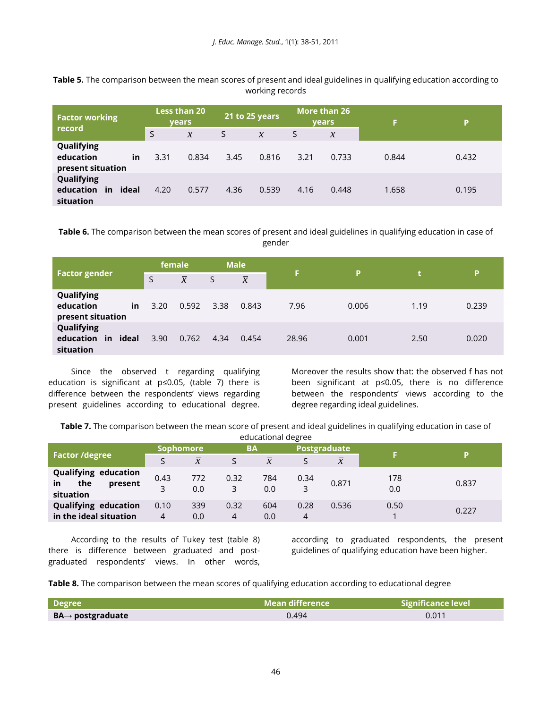**Table 5.** The comparison between the mean scores of present and ideal guidelines in qualifying education according to working records

| <b>Factor working</b>                              | <b>Less than 20</b><br><b>vears</b> |                | 21 to 25 years |                | More than 26<br><b>vears</b> |                | F     | P     |
|----------------------------------------------------|-------------------------------------|----------------|----------------|----------------|------------------------------|----------------|-------|-------|
| record                                             | S                                   | $\overline{x}$ | S              | $\overline{x}$ | S                            | $\overline{x}$ |       |       |
| Qualifying<br>education<br>in<br>present situation | 3.31                                | 0.834          | 3.45           | 0.816          | 3.21                         | 0.733          | 0.844 | 0.432 |
| Qualifying<br>education<br>in ideal<br>situation   | 4.20                                | 0.577          | 4.36           | 0.539          | 4.16                         | 0.448          | 1.658 | 0.195 |

**Table 6.** The comparison between the mean scores of present and ideal guidelines in qualifying education in case of gender

|                                                      |      | female         |      | <b>Male</b>    |       |       | 47   |       |
|------------------------------------------------------|------|----------------|------|----------------|-------|-------|------|-------|
| <b>Factor gender</b>                                 | S    | $\overline{x}$ | S    | $\overline{x}$ | F     | P     |      | P     |
| Qualifying<br>education<br>in<br>present situation   | 3.20 | 0.592          | 3.38 | 0.843          | 7.96  | 0.006 | 1.19 | 0.239 |
| Qualifying<br>education<br>ideal<br>in.<br>situation | 3.90 | 0.762          | 4.34 | 0.454          | 28.96 | 0.001 | 2.50 | 0.020 |

Since the observed t regarding qualifying education is significant at p≤0.05, (table 7) there is difference between the respondents' views regarding present guidelines according to educational degree. Moreover the results show that: the observed f has not been significant at p≤0.05, there is no difference between the respondents' views according to the degree regarding ideal guidelines.

**Table 7.** The comparison between the mean score of present and ideal guidelines in qualifying education in case of educational degree

|                                                                  | <b>Sophomore</b> |                | <b>BA</b> |                | <b>Postgraduate</b> |                |            | D     |
|------------------------------------------------------------------|------------------|----------------|-----------|----------------|---------------------|----------------|------------|-------|
| <b>Factor /degree</b>                                            |                  | $\overline{x}$ |           | $\overline{x}$ |                     | $\overline{x}$ |            |       |
| <b>Qualifying education</b><br>the<br>in<br>present<br>situation | 0.43<br>3        | 772<br>0.0     | 0.32<br>3 | 784<br>0.0     | 0.34<br>3           | 0.871          | 178<br>0.0 | 0.837 |
| <b>Qualifying education</b><br>in the ideal situation            | 0.10<br>4        | 339<br>0.0     | 0.32<br>4 | 604<br>0.0     | 0.28                | 0.536          | 0.50       | 0.227 |

According to the results of Tukey test (table 8) there is difference between graduated and postgraduated respondents' views. In other words,

according to graduated respondents, the present guidelines of qualifying education have been higher.

**Table 8.** The comparison between the mean scores of qualifying education according to educational degree

| Degree                        | $\blacksquare$ Mean difference $\blacksquare$ | <b>Significance level</b> |
|-------------------------------|-----------------------------------------------|---------------------------|
| $BA \rightarrow postgraduate$ | 0.494                                         | 0.011                     |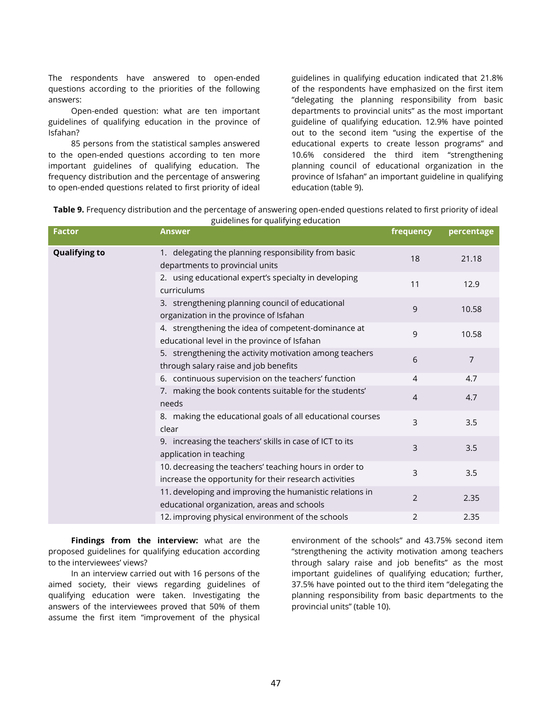The respondents have answered to open-ended questions according to the priorities of the following answers:

Open-ended question: what are ten important guidelines of qualifying education in the province of Isfahan?

85 persons from the statistical samples answered to the open-ended questions according to ten more important guidelines of qualifying education. The frequency distribution and the percentage of answering to open-ended questions related to first priority of ideal

guidelines in qualifying education indicated that 21.8% of the respondents have emphasized on the first item "delegating the planning responsibility from basic departments to provincial units" as the most important guideline of qualifying education. 12.9% have pointed out to the second item "using the expertise of the educational experts to create lesson programs" and 10.6% considered the third item "strengthening planning council of educational organization in the province of Isfahan" an important guideline in qualifying education (table 9).

| Table 9. Frequency distribution and the percentage of answering open-ended questions related to first priority of ideal |  |
|-------------------------------------------------------------------------------------------------------------------------|--|
| mujdelines for qualifying education                                                                                     |  |

| <b>Factor</b>        | salacillites for qualitying caacation.<br><b>Answer</b>                                                           | frequency      | percentage     |
|----------------------|-------------------------------------------------------------------------------------------------------------------|----------------|----------------|
| <b>Qualifying to</b> | 1. delegating the planning responsibility from basic<br>departments to provincial units                           | 18             | 21.18          |
|                      | 2. using educational expert's specialty in developing<br>curriculums                                              | 11             | 12.9           |
|                      | 3. strengthening planning council of educational<br>organization in the province of Isfahan                       | 9              | 10.58          |
|                      | 4. strengthening the idea of competent-dominance at<br>educational level in the province of Isfahan               | 9              | 10.58          |
|                      | 5. strengthening the activity motivation among teachers<br>through salary raise and job benefits                  | 6              | $\overline{7}$ |
|                      | 6. continuous supervision on the teachers' function                                                               | $\overline{4}$ | 4.7            |
|                      | 7. making the book contents suitable for the students'<br>needs                                                   | $\overline{4}$ | 4.7            |
|                      | 8. making the educational goals of all educational courses<br>clear                                               | 3              | 3.5            |
|                      | 9. increasing the teachers' skills in case of ICT to its<br>application in teaching                               | 3              | 3.5            |
|                      | 10. decreasing the teachers' teaching hours in order to<br>increase the opportunity for their research activities | 3              | 3.5            |
|                      | 11. developing and improving the humanistic relations in<br>educational organization, areas and schools           | 2              | 2.35           |
|                      | 12. improving physical environment of the schools                                                                 | $\overline{2}$ | 2.35           |

**Findings from the interview:** what are the proposed guidelines for qualifying education according to the interviewees' views?

In an interview carried out with 16 persons of the aimed society, their views regarding guidelines of qualifying education were taken. Investigating the answers of the interviewees proved that 50% of them assume the first item "improvement of the physical

environment of the schools" and 43.75% second item "strengthening the activity motivation among teachers through salary raise and job benefits" as the most important guidelines of qualifying education; further, 37.5% have pointed out to the third item "delegating the planning responsibility from basic departments to the provincial units" (table 10).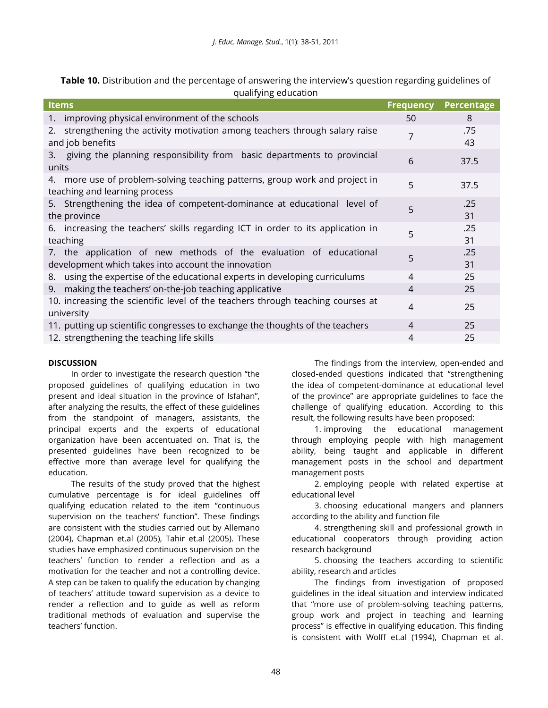**Table 10.** Distribution and the percentage of answering the interview's question regarding guidelines of qualifying education

| <b>Items</b>                                                                                                              | <b>Frequency</b> | Percentage |
|---------------------------------------------------------------------------------------------------------------------------|------------------|------------|
| 1. improving physical environment of the schools                                                                          | 50               | 8          |
| 2. strengthening the activity motivation among teachers through salary raise<br>and job benefits                          | 7                | .75<br>43  |
| 3. giving the planning responsibility from basic departments to provincial<br>units                                       | 6                | 37.5       |
| 4. more use of problem-solving teaching patterns, group work and project in<br>teaching and learning process              | 5                | 37.5       |
| 5. Strengthening the idea of competent-dominance at educational level of<br>the province                                  | 5                | .25<br>31  |
| 6. increasing the teachers' skills regarding ICT in order to its application in<br>teaching                               | 5                | .25<br>31  |
| 7. the application of new methods of the evaluation of educational<br>development which takes into account the innovation | 5                | .25<br>31  |
| using the expertise of the educational experts in developing curriculums<br>8.                                            | 4                | 25         |
| 9. making the teachers' on-the-job teaching applicative                                                                   | 4                | 25         |
| 10. increasing the scientific level of the teachers through teaching courses at<br>university                             | 4                | 25         |
| 11. putting up scientific congresses to exchange the thoughts of the teachers                                             | 4                | 25         |
| 12. strengthening the teaching life skills                                                                                | 4                | 25         |

## **DISCUSSION**

In order to investigate the research question "the proposed guidelines of qualifying education in two present and ideal situation in the province of Isfahan", after analyzing the results, the effect of these guidelines from the standpoint of managers, assistants, the principal experts and the experts of educational organization have been accentuated on. That is, the presented guidelines have been recognized to be effective more than average level for qualifying the education.

The results of the study proved that the highest cumulative percentage is for ideal guidelines off qualifying education related to the item "continuous supervision on the teachers' function". These findings are consistent with the studies carried out by Allemano (2004), Chapman et.al (2005), Tahir et.al (2005). These studies have emphasized continuous supervision on the teachers' function to render a reflection and as a motivation for the teacher and not a controlling device. A step can be taken to qualify the education by changing of teachers' attitude toward supervision as a device to render a reflection and to guide as well as reform traditional methods of evaluation and supervise the teachers' function.

The findings from the interview, open-ended and closed-ended questions indicated that "strengthening the idea of competent-dominance at educational level of the province" are appropriate guidelines to face the challenge of qualifying education. According to this result, the following results have been proposed:

1. improving the educational management through employing people with high management ability, being taught and applicable in different management posts in the school and department management posts

2. employing people with related expertise at educational level

3. choosing educational mangers and planners according to the ability and function file

4. strengthening skill and professional growth in educational cooperators through providing action research background

5. choosing the teachers according to scientific ability, research and articles

The findings from investigation of proposed guidelines in the ideal situation and interview indicated that "more use of problem-solving teaching patterns, group work and project in teaching and learning process" is effective in qualifying education. This finding is consistent with Wolff et.al (1994), Chapman et al.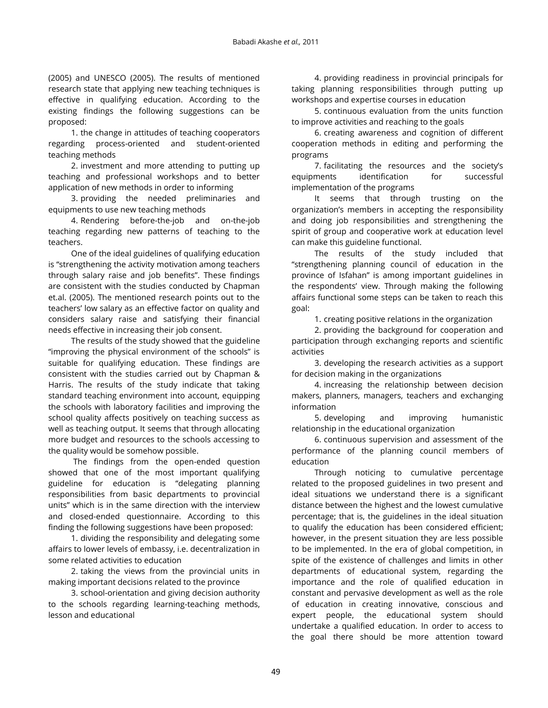(2005) and UNESCO (2005). The results of mentioned research state that applying new teaching techniques is effective in qualifying education. According to the existing findings the following suggestions can be proposed:

1. the change in attitudes of teaching cooperators regarding process-oriented and student-oriented teaching methods

2. investment and more attending to putting up teaching and professional workshops and to better application of new methods in order to informing

3. providing the needed preliminaries and equipments to use new teaching methods

4. Rendering before-the-job and on-the-job teaching regarding new patterns of teaching to the teachers.

One of the ideal guidelines of qualifying education is "strengthening the activity motivation among teachers through salary raise and job benefits". These findings are consistent with the studies conducted by Chapman et.al. (2005). The mentioned research points out to the teachers' low salary as an effective factor on quality and considers salary raise and satisfying their financial needs effective in increasing their job consent.

The results of the study showed that the guideline "improving the physical environment of the schools" is suitable for qualifying education. These findings are consistent with the studies carried out by Chapman & Harris. The results of the study indicate that taking standard teaching environment into account, equipping the schools with laboratory facilities and improving the school quality affects positively on teaching success as well as teaching output. It seems that through allocating more budget and resources to the schools accessing to the quality would be somehow possible.

The findings from the open-ended question showed that one of the most important qualifying guideline for education is "delegating planning responsibilities from basic departments to provincial units" which is in the same direction with the interview and closed-ended questionnaire. According to this finding the following suggestions have been proposed:

1. dividing the responsibility and delegating some affairs to lower levels of embassy, i.e. decentralization in some related activities to education

2. taking the views from the provincial units in making important decisions related to the province

3. school-orientation and giving decision authority to the schools regarding learning-teaching methods, lesson and educational

4. providing readiness in provincial principals for taking planning responsibilities through putting up workshops and expertise courses in education

5. continuous evaluation from the units function to improve activities and reaching to the goals

6. creating awareness and cognition of different cooperation methods in editing and performing the programs

7. facilitating the resources and the society's equipments identification for successful implementation of the programs

It seems that through trusting on the organization's members in accepting the responsibility and doing job responsibilities and strengthening the spirit of group and cooperative work at education level can make this guideline functional.

The results of the study included that "strengthening planning council of education in the province of Isfahan" is among important guidelines in the respondents' view. Through making the following affairs functional some steps can be taken to reach this goal:

1. creating positive relations in the organization

2. providing the background for cooperation and participation through exchanging reports and scientific activities

3. developing the research activities as a support for decision making in the organizations

4. increasing the relationship between decision makers, planners, managers, teachers and exchanging information

5. developing and improving humanistic relationship in the educational organization

6. continuous supervision and assessment of the performance of the planning council members of education

Through noticing to cumulative percentage related to the proposed guidelines in two present and ideal situations we understand there is a significant distance between the highest and the lowest cumulative percentage; that is, the guidelines in the ideal situation to qualify the education has been considered efficient; however, in the present situation they are less possible to be implemented. In the era of global competition, in spite of the existence of challenges and limits in other departments of educational system, regarding the importance and the role of qualified education in constant and pervasive development as well as the role of education in creating innovative, conscious and expert people, the educational system should undertake a qualified education. In order to access to the goal there should be more attention toward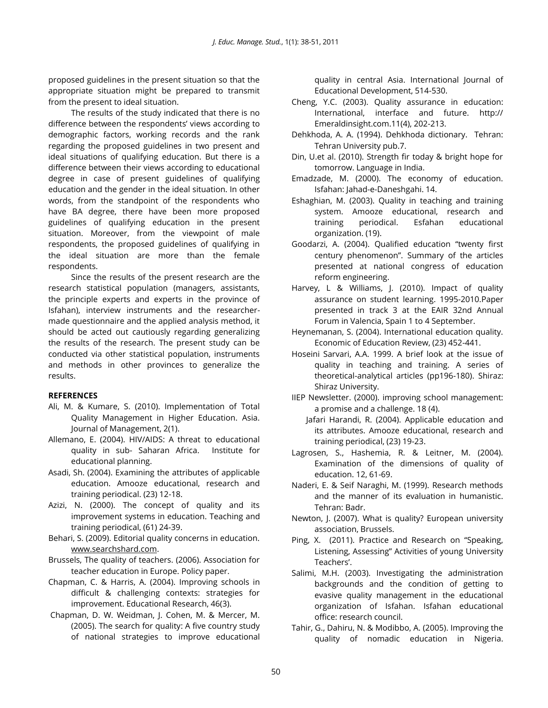proposed guidelines in the present situation so that the appropriate situation might be prepared to transmit from the present to ideal situation.

The results of the study indicated that there is no difference between the respondents' views according to demographic factors, working records and the rank regarding the proposed guidelines in two present and ideal situations of qualifying education. But there is a difference between their views according to educational degree in case of present guidelines of qualifying education and the gender in the ideal situation. In other words, from the standpoint of the respondents who have BA degree, there have been more proposed guidelines of qualifying education in the present situation. Moreover, from the viewpoint of male respondents, the proposed guidelines of qualifying in the ideal situation are more than the female respondents.

Since the results of the present research are the research statistical population (managers, assistants, the principle experts and experts in the province of Isfahan), interview instruments and the researchermade questionnaire and the applied analysis method, it should be acted out cautiously regarding generalizing the results of the research. The present study can be conducted via other statistical population, instruments and methods in other provinces to generalize the results.

## **REFERENCES**

- Ali, M. & Kumare, S. (2010). Implementation of Total Quality Management in Higher Education. Asia. Journal of Management, 2(1).
- Allemano, E. (2004). HIV/AIDS: A threat to educational quality in sub- Saharan Africa. Institute for educational planning.
- Asadi, Sh. (2004). Examining the attributes of applicable education. Amooze educational, research and training periodical. (23) 12-18.
- Azizi, N. (2000). The concept of quality and its improvement systems in education. Teaching and training periodical, (61) 24-39.
- Behari, S. (2009). Editorial quality concerns in education. [www.searchshard.com.](http://www.searchshard.com/)
- Brussels, The quality of teachers. (2006). Association for teacher education in Europe. Policy paper.
- Chapman, C. & Harris, A. (2004). Improving schools in difficult & challenging contexts: strategies for improvement. Educational Research, 46(3).
- Chapman, D. W. Weidman, J. Cohen, M. & Mercer, M. (2005). The search for quality: A five country study of national strategies to improve educational

quality in central Asia. International Journal of Educational Development, 514-530.

- Cheng, Y.C. (2003). Quality assurance in education: International, interface and future. http:// Emeraldinsight.com.11(4), 202-213.
- Dehkhoda, A. A. (1994). Dehkhoda dictionary. Tehran: Tehran University pub.7.
- Din, U.et al. (2010). Strength fir today & bright hope for tomorrow. Language in India.
- Emadzade, M. (2000). The economy of education. Isfahan: Jahad-e-Daneshgahi. 14.
- Eshaghian, M. (2003). Quality in teaching and training system. Amooze educational, research and training periodical. Esfahan educational organization. (19).
- Goodarzi, A. (2004). Qualified education "twenty first century phenomenon". Summary of the articles presented at national congress of education reform engineering.
- Harvey, L & Williams, J. (2010). Impact of quality assurance on student learning. 1995-2010.Paper presented in track 3 at the EAIR 32nd Annual Forum in Valencia, Spain 1 to 4 September.
- Heynemanan, S. (2004). International education quality. Economic of Education Review, (23) 452-441.
- Hoseini Sarvari, A.A. 1999. A brief look at the issue of quality in teaching and training. A series of theoretical-analytical articles (pp196-180). Shiraz: Shiraz University.
- IIEP Newsletter. (2000). improving school management: a promise and a challenge. 18 (4).
	- Jafari Harandi, R. (2004). Applicable education and its attributes. Amooze educational, research and training periodical, (23) 19-23.
- Lagrosen, S., Hashemia, R. & Leitner, M. (2004). Examination of the dimensions of quality of education. 12, 61-69.
- Naderi, E. & Seif Naraghi, M. (1999). Research methods and the manner of its evaluation in humanistic. Tehran: Badr.
- Newton, J. (2007). What is quality? European university association, Brussels.
- Ping, X. (2011). Practice and Research on "Speaking, Listening, Assessing" Activities of young University Teachers'.
- Salimi, M.H. (2003). Investigating the administration backgrounds and the condition of getting to evasive quality management in the educational organization of Isfahan. Isfahan educational office: research council.
- Tahir, G., Dahiru, N. & Modibbo, A. (2005). Improving the quality of nomadic education in Nigeria.